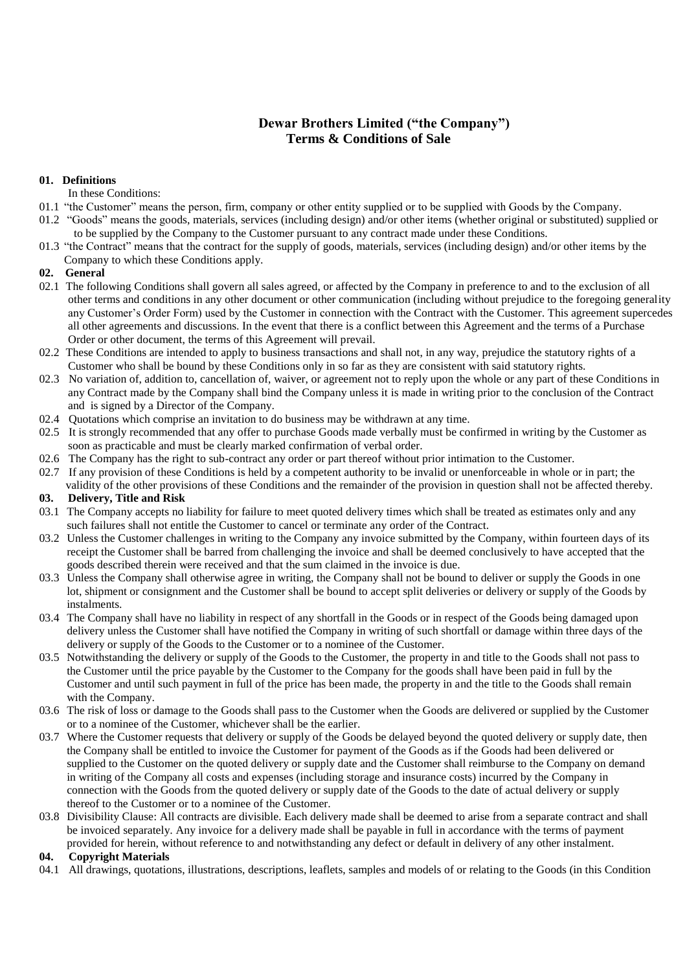# **Dewar Brothers Limited ("the Company") Terms & Conditions of Sale**

#### **01. Definitions**

In these Conditions:

- 01.1 "the Customer" means the person, firm, company or other entity supplied or to be supplied with Goods by the Company.
- 01.2 "Goods" means the goods, materials, services (including design) and/or other items (whether original or substituted) supplied or to be supplied by the Company to the Customer pursuant to any contract made under these Conditions.
- 01.3 "the Contract" means that the contract for the supply of goods, materials, services (including design) and/or other items by the Company to which these Conditions apply.

#### **02. General**

- 02.1 The following Conditions shall govern all sales agreed, or affected by the Company in preference to and to the exclusion of all other terms and conditions in any other document or other communication (including without prejudice to the foregoing generality any Customer's Order Form) used by the Customer in connection with the Contract with the Customer. This agreement supercedes all other agreements and discussions. In the event that there is a conflict between this Agreement and the terms of a Purchase Order or other document, the terms of this Agreement will prevail.
- 02.2 These Conditions are intended to apply to business transactions and shall not, in any way, prejudice the statutory rights of a Customer who shall be bound by these Conditions only in so far as they are consistent with said statutory rights.
- 02.3 No variation of, addition to, cancellation of, waiver, or agreement not to reply upon the whole or any part of these Conditions in any Contract made by the Company shall bind the Company unless it is made in writing prior to the conclusion of the Contract and is signed by a Director of the Company.
- 02.4 Quotations which comprise an invitation to do business may be withdrawn at any time.
- 02.5 It is strongly recommended that any offer to purchase Goods made verbally must be confirmed in writing by the Customer as soon as practicable and must be clearly marked confirmation of verbal order.
- 02.6 The Company has the right to sub-contract any order or part thereof without prior intimation to the Customer.
- 02.7 If any provision of these Conditions is held by a competent authority to be invalid or unenforceable in whole or in part; the
- validity of the other provisions of these Conditions and the remainder of the provision in question shall not be affected thereby.

# **03. Delivery, Title and Risk**

- 03.1 The Company accepts no liability for failure to meet quoted delivery times which shall be treated as estimates only and any such failures shall not entitle the Customer to cancel or terminate any order of the Contract.
- 03.2 Unless the Customer challenges in writing to the Company any invoice submitted by the Company, within fourteen days of its receipt the Customer shall be barred from challenging the invoice and shall be deemed conclusively to have accepted that the goods described therein were received and that the sum claimed in the invoice is due.
- 03.3 Unless the Company shall otherwise agree in writing, the Company shall not be bound to deliver or supply the Goods in one lot, shipment or consignment and the Customer shall be bound to accept split deliveries or delivery or supply of the Goods by instalments.
- 03.4 The Company shall have no liability in respect of any shortfall in the Goods or in respect of the Goods being damaged upon delivery unless the Customer shall have notified the Company in writing of such shortfall or damage within three days of the delivery or supply of the Goods to the Customer or to a nominee of the Customer.
- 03.5 Notwithstanding the delivery or supply of the Goods to the Customer, the property in and title to the Goods shall not pass to the Customer until the price payable by the Customer to the Company for the goods shall have been paid in full by the Customer and until such payment in full of the price has been made, the property in and the title to the Goods shall remain with the Company.
- 03.6 The risk of loss or damage to the Goods shall pass to the Customer when the Goods are delivered or supplied by the Customer or to a nominee of the Customer, whichever shall be the earlier.
- 03.7 Where the Customer requests that delivery or supply of the Goods be delayed beyond the quoted delivery or supply date, then the Company shall be entitled to invoice the Customer for payment of the Goods as if the Goods had been delivered or supplied to the Customer on the quoted delivery or supply date and the Customer shall reimburse to the Company on demand in writing of the Company all costs and expenses (including storage and insurance costs) incurred by the Company in connection with the Goods from the quoted delivery or supply date of the Goods to the date of actual delivery or supply thereof to the Customer or to a nominee of the Customer.
- 03.8 Divisibility Clause: All contracts are divisible. Each delivery made shall be deemed to arise from a separate contract and shall be invoiced separately. Any invoice for a delivery made shall be payable in full in accordance with the terms of payment provided for herein, without reference to and notwithstanding any defect or default in delivery of any other instalment.

## **04. Copyright Materials**

04.1 All drawings, quotations, illustrations, descriptions, leaflets, samples and models of or relating to the Goods (in this Condition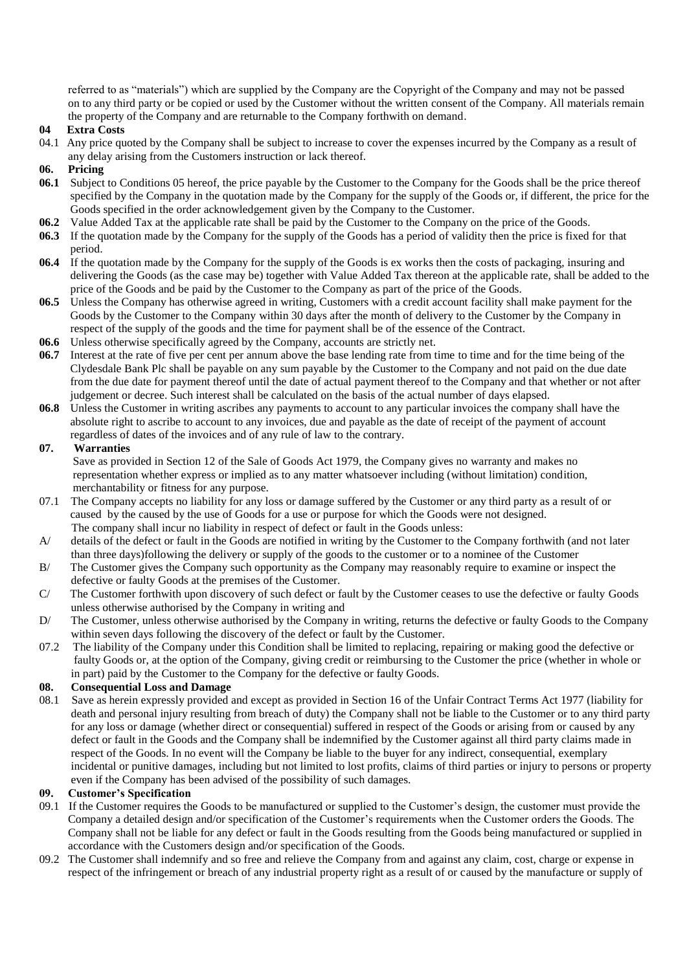referred to as "materials") which are supplied by the Company are the Copyright of the Company and may not be passed on to any third party or be copied or used by the Customer without the written consent of the Company. All materials remain the property of the Company and are returnable to the Company forthwith on demand.

#### **04 Extra Costs**

04.1 Any price quoted by the Company shall be subject to increase to cover the expenses incurred by the Company as a result of any delay arising from the Customers instruction or lack thereof.

#### **06. Pricing**

- **06.1** Subject to Conditions 05 hereof, the price payable by the Customer to the Company for the Goods shall be the price thereof specified by the Company in the quotation made by the Company for the supply of the Goods or, if different, the price for the Goods specified in the order acknowledgement given by the Company to the Customer.
- **06.2** Value Added Tax at the applicable rate shall be paid by the Customer to the Company on the price of the Goods.
- **06.3** If the quotation made by the Company for the supply of the Goods has a period of validity then the price is fixed for that period.
- **06.4** If the quotation made by the Company for the supply of the Goods is ex works then the costs of packaging, insuring and delivering the Goods (as the case may be) together with Value Added Tax thereon at the applicable rate, shall be added to the price of the Goods and be paid by the Customer to the Company as part of the price of the Goods.
- **06.5** Unless the Company has otherwise agreed in writing, Customers with a credit account facility shall make payment for the Goods by the Customer to the Company within 30 days after the month of delivery to the Customer by the Company in respect of the supply of the goods and the time for payment shall be of the essence of the Contract.
- **06.6** Unless otherwise specifically agreed by the Company, accounts are strictly net.
- **06.7** Interest at the rate of five per cent per annum above the base lending rate from time to time and for the time being of the Clydesdale Bank Plc shall be payable on any sum payable by the Customer to the Company and not paid on the due date from the due date for payment thereof until the date of actual payment thereof to the Company and that whether or not after judgement or decree. Such interest shall be calculated on the basis of the actual number of days elapsed.
- **06.8** Unless the Customer in writing ascribes any payments to account to any particular invoices the company shall have the absolute right to ascribe to account to any invoices, due and payable as the date of receipt of the payment of account regardless of dates of the invoices and of any rule of law to the contrary.

#### **07. Warranties**

Save as provided in Section 12 of the Sale of Goods Act 1979, the Company gives no warranty and makes no representation whether express or implied as to any matter whatsoever including (without limitation) condition, merchantability or fitness for any purpose.

- 07.1 The Company accepts no liability for any loss or damage suffered by the Customer or any third party as a result of or caused by the caused by the use of Goods for a use or purpose for which the Goods were not designed. The company shall incur no liability in respect of defect or fault in the Goods unless:
- A/ details of the defect or fault in the Goods are notified in writing by the Customer to the Company forthwith (and not later than three days)following the delivery or supply of the goods to the customer or to a nominee of the Customer
- B/ The Customer gives the Company such opportunity as the Company may reasonably require to examine or inspect the defective or faulty Goods at the premises of the Customer.
- C/ The Customer forthwith upon discovery of such defect or fault by the Customer ceases to use the defective or faulty Goods unless otherwise authorised by the Company in writing and
- D/ The Customer, unless otherwise authorised by the Company in writing, returns the defective or faulty Goods to the Company within seven days following the discovery of the defect or fault by the Customer.
- 07.2 The liability of the Company under this Condition shall be limited to replacing, repairing or making good the defective or faulty Goods or, at the option of the Company, giving credit or reimbursing to the Customer the price (whether in whole or in part) paid by the Customer to the Company for the defective or faulty Goods.

#### **08. Consequential Loss and Damage**

08.1 Save as herein expressly provided and except as provided in Section 16 of the Unfair Contract Terms Act 1977 (liability for death and personal injury resulting from breach of duty) the Company shall not be liable to the Customer or to any third party for any loss or damage (whether direct or consequential) suffered in respect of the Goods or arising from or caused by any defect or fault in the Goods and the Company shall be indemnified by the Customer against all third party claims made in respect of the Goods. In no event will the Company be liable to the buyer for any indirect, consequential, exemplary incidental or punitive damages, including but not limited to lost profits, claims of third parties or injury to persons or property even if the Company has been advised of the possibility of such damages.

#### **09. Customer's Specification**

- 09.1 If the Customer requires the Goods to be manufactured or supplied to the Customer's design, the customer must provide the Company a detailed design and/or specification of the Customer's requirements when the Customer orders the Goods. The Company shall not be liable for any defect or fault in the Goods resulting from the Goods being manufactured or supplied in accordance with the Customers design and/or specification of the Goods.
- 09.2 The Customer shall indemnify and so free and relieve the Company from and against any claim, cost, charge or expense in respect of the infringement or breach of any industrial property right as a result of or caused by the manufacture or supply of